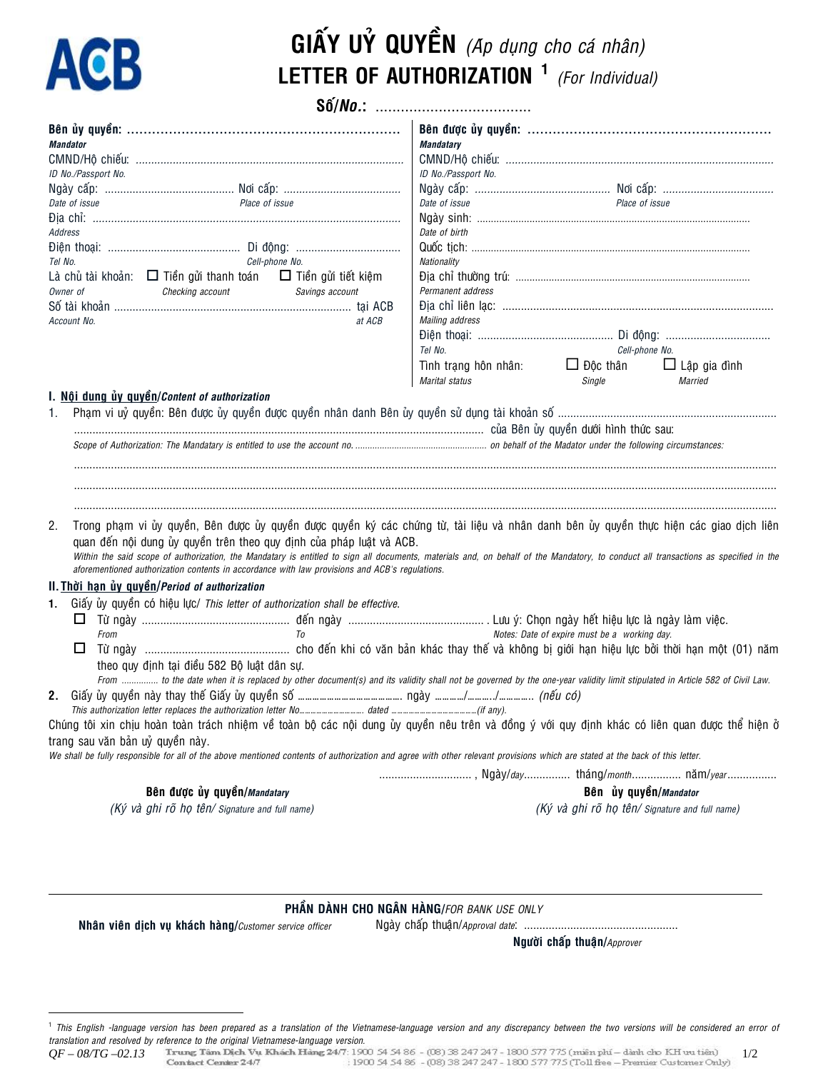# **ACB**

## GIẤY Uỷ QUYỀN (Ap dụng cho cá nhân) LETTER OF AUTHORIZATION<sup>1</sup> (For Individual)

| <b>Mandator</b><br>ID No./Passport No.                                                                                                                                                                                                                                                | <b>Mandatary</b><br>ID No./Passport No.                |                                                |                                |
|---------------------------------------------------------------------------------------------------------------------------------------------------------------------------------------------------------------------------------------------------------------------------------------|--------------------------------------------------------|------------------------------------------------|--------------------------------|
|                                                                                                                                                                                                                                                                                       |                                                        |                                                |                                |
| Date of issue<br>Place of issue                                                                                                                                                                                                                                                       | Date of issue                                          | Place of issue                                 |                                |
|                                                                                                                                                                                                                                                                                       |                                                        |                                                |                                |
| Address                                                                                                                                                                                                                                                                               | Date of birth                                          |                                                |                                |
| Cell-phone No.<br>Tel No.                                                                                                                                                                                                                                                             | Nationality                                            |                                                |                                |
| Là chủ tài khoản: □ Tiền gửi thanh toán □ Tiền gửi tiết kiệm                                                                                                                                                                                                                          |                                                        |                                                |                                |
| Checking account<br>Owner of<br>Savings account                                                                                                                                                                                                                                       | Permanent address                                      |                                                |                                |
|                                                                                                                                                                                                                                                                                       |                                                        |                                                |                                |
| Account No.<br>at ACB                                                                                                                                                                                                                                                                 | Mailing address                                        |                                                |                                |
|                                                                                                                                                                                                                                                                                       |                                                        |                                                |                                |
|                                                                                                                                                                                                                                                                                       | Tel No.                                                | Cell-phone No.                                 |                                |
|                                                                                                                                                                                                                                                                                       | Tình trạng hôn nhân: $\Box$ Độc thân<br>Marital status | Single                                         | $\Box$ Lập gia đình<br>Married |
| I. Nội dung ủy quyền/Content of authorization                                                                                                                                                                                                                                         |                                                        |                                                |                                |
| Trong phạm vi ủy quyền, Bên được ủy quyền được quyền ký các chứng từ, tài liệu và nhân danh bên ủy quyền thực hiện các giao dịch liên<br>2.<br>quan đến nội dung ủy quyền trên theo quy định của pháp luật và ACB.                                                                    |                                                        |                                                |                                |
| Within the said scope of authorization, the Mandatary is entitled to sign all documents, materials and, on behalf of the Mandatory, to conduct all transactions as specified in the<br>aforementioned authorization contents in accordance with law provisions and ACB's regulations. |                                                        |                                                |                                |
| II. Thời hạn ủy quyền/Period of authorization                                                                                                                                                                                                                                         |                                                        |                                                |                                |
| Giấy ủy quyền có hiệu lực/ This letter of authorization shall be effective.<br>1.                                                                                                                                                                                                     |                                                        |                                                |                                |
|                                                                                                                                                                                                                                                                                       |                                                        |                                                |                                |
| From<br>T <sub>0</sub><br>Notes: Date of expire must be a working day.                                                                                                                                                                                                                |                                                        |                                                |                                |
|                                                                                                                                                                                                                                                                                       |                                                        |                                                |                                |
| theo quy định tại điều 582 Bộ luật dân sự.                                                                                                                                                                                                                                            |                                                        |                                                |                                |
| From  to the date when it is replaced by other document(s) and its validity shall not be governed by the one-year validity limit stipulated in Article 582 of Civil Law.                                                                                                              |                                                        |                                                |                                |
|                                                                                                                                                                                                                                                                                       |                                                        |                                                |                                |
| Chúng tôi xin chịu hoàn toàn trách nhiệm về toàn bộ các nội dung ủy quyền nêu trên và đồng ý với quy định khác có liên quan được thể hiện ở                                                                                                                                           |                                                        |                                                |                                |
| trang sau văn bản uỷ quyền này.                                                                                                                                                                                                                                                       |                                                        |                                                |                                |
| We shall be fully responsible for all of the above mentioned contents of authorization and agree with other relevant provisions which are stated at the back of this letter.                                                                                                          |                                                        |                                                |                                |
|                                                                                                                                                                                                                                                                                       | , Ngày/day tháng/month năm/year                        |                                                |                                |
| Bên được ủy quyền/Mandatary                                                                                                                                                                                                                                                           |                                                        | Bên ủy quyền/Mandator                          |                                |
| (Ký và ghi rõ họ tên/ Signature and full name)                                                                                                                                                                                                                                        |                                                        | (Ký và ghi rõ họ tên/ Signature and full name) |                                |
|                                                                                                                                                                                                                                                                                       |                                                        |                                                |                                |

### PHẦN DÀNH CHO NGÂN HÀNG/FOR BANK USE ONLY

Nhân viên dịch vụ khách hàng/Customer service officer

Người chấp thuận/Approver

<sup>&</sup>lt;sup>1</sup> This English -language version has been prepared as a translation of the Vietnamese-language version and any discrepancy between the two versions will be considered an error of translation and resolved by reference to the original Vietnamese-language version.

 $1/2$